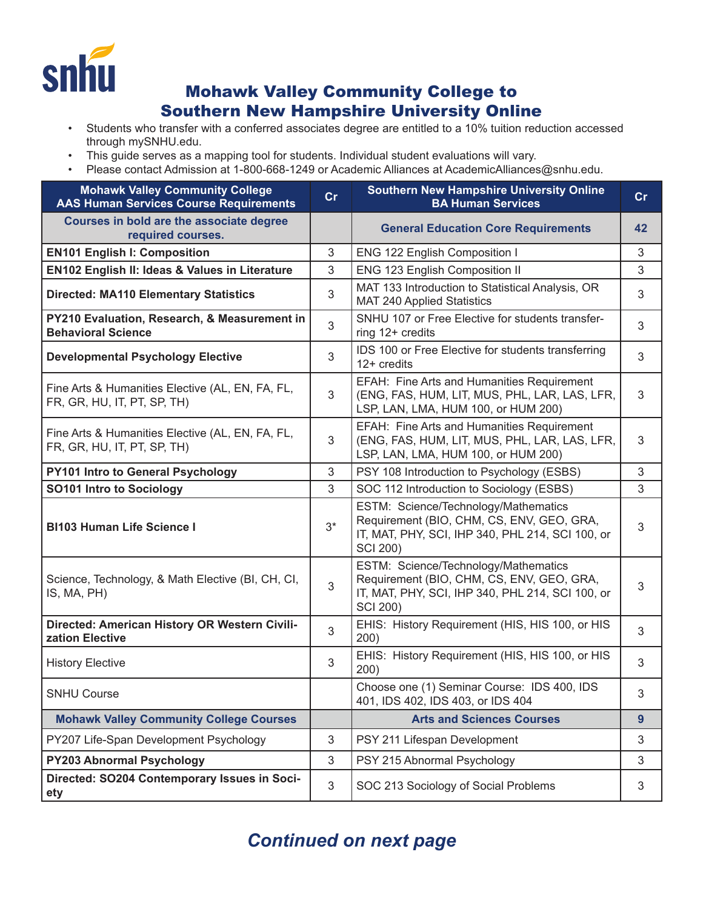

## Mohawk Valley Community College to Southern New Hampshire University Online

- Students who transfer with a conferred associates degree are entitled to a 10% tuition reduction accessed through mySNHU.edu.
- This guide serves as a mapping tool for students. Individual student evaluations will vary.
- Please contact Admission at 1-800-668-1249 or Academic Alliances at AcademicAlliances@snhu.edu.

| <b>Mohawk Valley Community College</b><br><b>AAS Human Services Course Requirements</b> | cr    | <b>Southern New Hampshire University Online</b><br><b>BA Human Services</b>                                                                              | cr         |
|-----------------------------------------------------------------------------------------|-------|----------------------------------------------------------------------------------------------------------------------------------------------------------|------------|
| Courses in bold are the associate degree<br>required courses.                           |       | <b>General Education Core Requirements</b>                                                                                                               | 42         |
| <b>EN101 English I: Composition</b>                                                     | 3     | ENG 122 English Composition I                                                                                                                            | 3          |
| EN102 English II: Ideas & Values in Literature                                          | 3     | ENG 123 English Composition II                                                                                                                           | 3          |
| <b>Directed: MA110 Elementary Statistics</b>                                            | 3     | MAT 133 Introduction to Statistical Analysis, OR<br><b>MAT 240 Applied Statistics</b>                                                                    | 3          |
| PY210 Evaluation, Research, & Measurement in<br><b>Behavioral Science</b>               | 3     | SNHU 107 or Free Elective for students transfer-<br>ring 12+ credits                                                                                     | 3          |
| <b>Developmental Psychology Elective</b>                                                | 3     | IDS 100 or Free Elective for students transferring<br>12+ credits                                                                                        | 3          |
| Fine Arts & Humanities Elective (AL, EN, FA, FL,<br>FR, GR, HU, IT, PT, SP, TH)         | 3     | EFAH: Fine Arts and Humanities Requirement<br>(ENG, FAS, HUM, LIT, MUS, PHL, LAR, LAS, LFR,<br>LSP, LAN, LMA, HUM 100, or HUM 200)                       | 3          |
| Fine Arts & Humanities Elective (AL, EN, FA, FL,<br>FR, GR, HU, IT, PT, SP, TH)         | 3     | EFAH: Fine Arts and Humanities Requirement<br>(ENG, FAS, HUM, LIT, MUS, PHL, LAR, LAS, LFR,<br>LSP, LAN, LMA, HUM 100, or HUM 200)                       | 3          |
| PY101 Intro to General Psychology                                                       | 3     | PSY 108 Introduction to Psychology (ESBS)                                                                                                                | 3          |
| <b>SO101 Intro to Sociology</b>                                                         | 3     | SOC 112 Introduction to Sociology (ESBS)                                                                                                                 | 3          |
| <b>BI103 Human Life Science I</b>                                                       | $3^*$ | ESTM: Science/Technology/Mathematics<br>Requirement (BIO, CHM, CS, ENV, GEO, GRA,<br>IT, MAT, PHY, SCI, IHP 340, PHL 214, SCI 100, or<br><b>SCI 200)</b> | 3          |
| Science, Technology, & Math Elective (BI, CH, CI,<br>IS, MA, PH)                        | 3     | ESTM: Science/Technology/Mathematics<br>Requirement (BIO, CHM, CS, ENV, GEO, GRA,<br>IT, MAT, PHY, SCI, IHP 340, PHL 214, SCI 100, or<br><b>SCI 200)</b> | 3          |
| Directed: American History OR Western Civili-<br>zation Elective                        | 3     | EHIS: History Requirement (HIS, HIS 100, or HIS<br>200)                                                                                                  | 3          |
| <b>History Elective</b>                                                                 | 3     | EHIS: History Requirement (HIS, HIS 100, or HIS<br>200)                                                                                                  | 3          |
| <b>SNHU Course</b>                                                                      |       | Choose one (1) Seminar Course: IDS 400, IDS<br>401, IDS 402, IDS 403, or IDS 404                                                                         | 3          |
| <b>Mohawk Valley Community College Courses</b>                                          |       | <b>Arts and Sciences Courses</b>                                                                                                                         | 9          |
| PY207 Life-Span Development Psychology                                                  | 3     | PSY 211 Lifespan Development                                                                                                                             | 3          |
| <b>PY203 Abnormal Psychology</b>                                                        | 3     | PSY 215 Abnormal Psychology                                                                                                                              | 3          |
| Directed: SO204 Contemporary Issues in Soci-<br>ety                                     | 3     | SOC 213 Sociology of Social Problems                                                                                                                     | $\sqrt{3}$ |

## *Continued on next page*